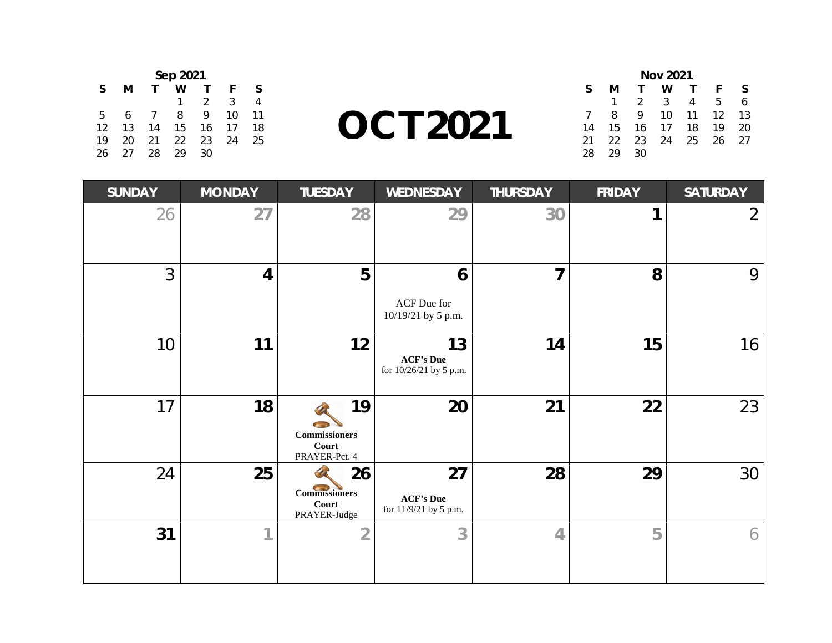| Sep 2021 |    |          |    |               |    |    |  |  |
|----------|----|----------|----|---------------|----|----|--|--|
| S        | м  |          | w  |               | F  | S  |  |  |
|          |    |          |    | $\mathcal{P}$ | 3  | 4  |  |  |
| 5        | 6  | $\prime$ | 8  | 9             | 10 | 11 |  |  |
| 12       | 13 | 14       | 15 | 16            | 17 | 18 |  |  |
| 19       | 20 | 21       | 22 | 23            | 24 | 25 |  |  |
| 26       | 27 | 28       | 29 | 30            |    |    |  |  |

**OCT 2021**

| <b>Nov 2021</b> |    |               |    |    |    |    |  |  |
|-----------------|----|---------------|----|----|----|----|--|--|
| S               | м  |               | w  |    | F  | S. |  |  |
|                 |    | $\mathcal{L}$ | 3  | 4  | 5  | 6  |  |  |
| $\overline{7}$  | 8  | 9             | 10 | 11 | 12 | 13 |  |  |
| 14              | 15 | 16            | 17 | 18 | 19 | 20 |  |  |
| 21              | 22 | 23            | 24 | 25 | 26 | 27 |  |  |
| 28              | 29 | 30            |    |    |    |    |  |  |

| <b>SUNDAY</b> | <b>MONDAY</b>           | <b>TUESDAY</b>                                       | <b>WEDNESDAY</b>                                 | <b>THURSDAY</b> | <b>FRIDAY</b> | <b>SATURDAY</b> |
|---------------|-------------------------|------------------------------------------------------|--------------------------------------------------|-----------------|---------------|-----------------|
| 26            | 27                      | 28                                                   | 29                                               | 30              |               | $\overline{2}$  |
| 3             | $\overline{\mathbf{4}}$ | 5                                                    | 6<br>ACF Due for<br>10/19/21 by 5 p.m.           | $\overline{7}$  | 8             | 9               |
| 10            | 11                      | 12                                                   | 13<br><b>ACF's Due</b><br>for 10/26/21 by 5 p.m. | 14              | 15            | 16              |
| 17            | 18                      | 19<br><b>Commissioners</b><br>Court<br>PRAYER-Pct. 4 | 20                                               | 21              | 22            | 23              |
| 24            | 25                      | 26<br><b>Commissioners</b><br>Court<br>PRAYER-Judge  | 27<br><b>ACF's Due</b><br>for 11/9/21 by 5 p.m.  | 28              | 29            | 30              |
| 31            | 1                       | $\overline{2}$                                       | 3                                                | $\overline{4}$  | 5             | 6               |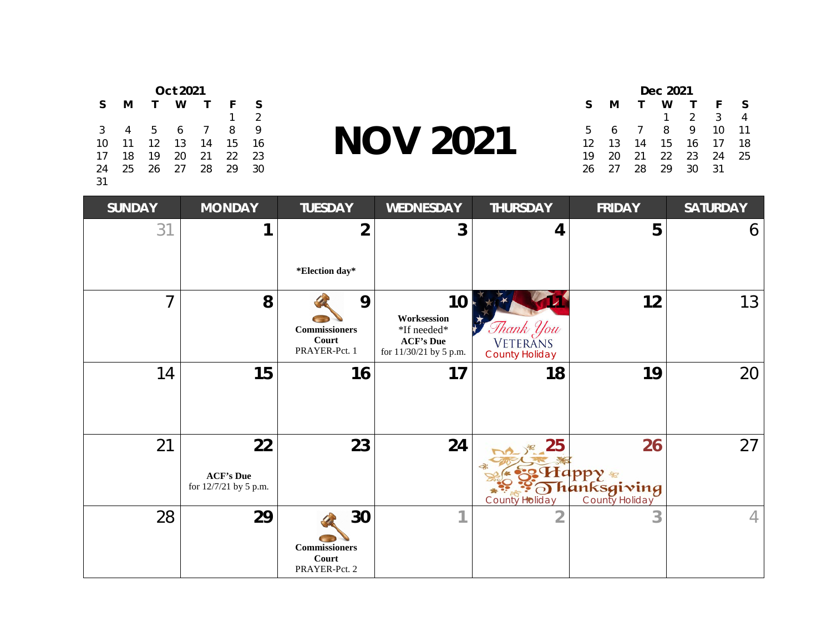| <b>Oct 2021</b> |    |              |    |                |    |                |  |
|-----------------|----|--------------|----|----------------|----|----------------|--|
| S               | м  | $\mathbf{T}$ | w  |                | F  | S              |  |
|                 |    |              |    |                | 1  | $\mathfrak{D}$ |  |
| 3               | 4  | 5            | 6  | $\overline{7}$ | 8  | 9              |  |
| 10              | 11 | 12           | 13 | 14             | 15 | 16             |  |
| 17              | 18 | 19           | 20 | 21             | 22 | 23             |  |
| 24              | 25 | 26           | 27 | 28             | 29 | 30             |  |
| 31              |    |              |    |                |    |                |  |

**NOV 2021**

| Dec 2021 |    |     |    |                |    |    |  |
|----------|----|-----|----|----------------|----|----|--|
| S        | м  |     | w  |                | F  | S  |  |
|          |    |     |    | $\overline{2}$ | 3  |    |  |
| 5        | 6  | - 7 | 8  | 9.             | 10 | 11 |  |
| 12       | 13 | 14  | 15 | 16             | 17 | 18 |  |
| 19       | 20 | 21  | 22 | -23            | 24 | 25 |  |
| 26       | 27 | 28  | 29 | 30             | 31 |    |  |

| <b>SUNDAY</b> | <b>MONDAY</b>                                   | <b>TUESDAY</b>                                       | <b>WEDNESDAY</b>                                                               | <b>THURSDAY</b>                                       | <b>FRIDAY</b>                                               | <b>SATURDAY</b> |
|---------------|-------------------------------------------------|------------------------------------------------------|--------------------------------------------------------------------------------|-------------------------------------------------------|-------------------------------------------------------------|-----------------|
| 31            | 1                                               | 2                                                    | 3                                                                              | 4                                                     | 5                                                           | 6               |
|               |                                                 | *Election day*                                       |                                                                                |                                                       |                                                             |                 |
| 7             | 8                                               | 9<br><b>Commissioners</b><br>Court<br>PRAYER-Pct. 1  | 10<br>Worksession<br>*If needed*<br><b>ACF's Due</b><br>for 11/30/21 by 5 p.m. | Shank You<br><b>VETERANS</b><br><b>County Holiday</b> | 12                                                          | 13              |
| 14            | 15                                              | 16                                                   | 17                                                                             | 18                                                    | 19                                                          | 20              |
| 21            | 22<br><b>ACF's Due</b><br>for 12/7/21 by 5 p.m. | 23                                                   | 24                                                                             | <b>De 125</b><br><b>County Holiday</b>                | 26<br>¦Happy <sub>*</sub><br>Thanksgiving<br>County Holiday | 27              |
| 28            | 29                                              | 30<br><b>Commissioners</b><br>Court<br>PRAYER-Pct. 2 | 4.                                                                             | $\overline{2}$                                        | 3                                                           | 4               |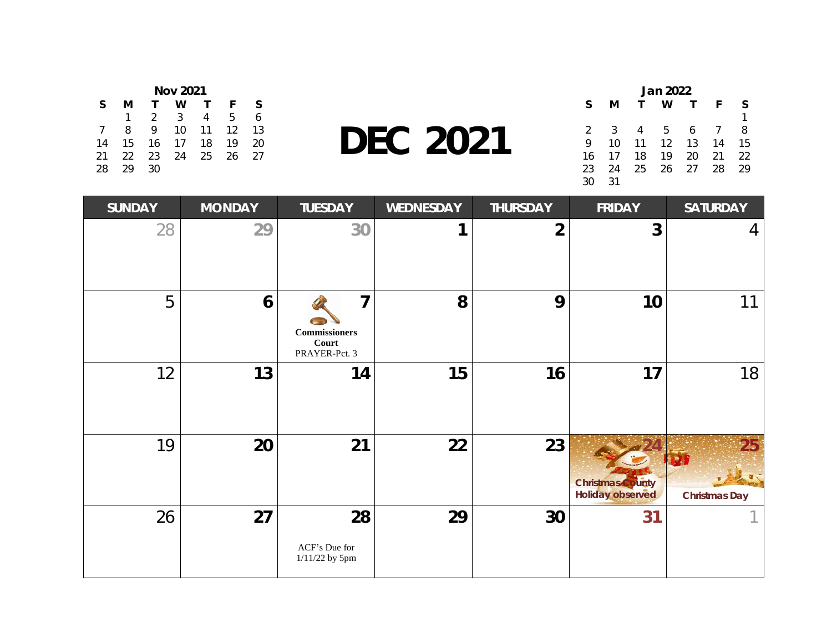| <b>Nov 2021</b> |    |    |    |    |    |    |  |
|-----------------|----|----|----|----|----|----|--|
| <sub>S</sub>    | м  |    | w  |    | F  | S. |  |
|                 |    | 2  | 3  | 4  | 5  | 6  |  |
| $\overline{7}$  | 8  | Q  | 10 | 11 | 12 | 13 |  |
| 14              | 15 | 16 | 17 | 18 | 19 | 20 |  |
| 21              | 22 | 23 | 24 | 25 | 26 | 27 |  |
| 28              | 29 | 30 |    |    |    |    |  |

**DEC 2021**

| Jan 2022      |    |              |                   |      |    |    |
|---------------|----|--------------|-------------------|------|----|----|
| S             | м  | $\mathbf{T}$ | w                 |      | F  | S  |
|               |    |              |                   |      |    |    |
| $\mathcal{L}$ | 3  | 4            | -5                | 6    | 7  | 8  |
| 9             | 10 | 11           | $12 \overline{ }$ | 13   | 14 | 15 |
| 16            | 17 | 18           | 19                | 20   | 21 | 22 |
| 23            | 24 | 25           | 26                | - 27 | 28 | 29 |
| 30            | 31 |              |                   |      |    |    |

| <b>SUNDAY</b> | <b>MONDAY</b> | <b>TUESDAY</b>                                                   | <b>WEDNESDAY</b> | <b>THURSDAY</b> | <b>FRIDAY</b>                                      | <b>SATURDAY</b>                         |
|---------------|---------------|------------------------------------------------------------------|------------------|-----------------|----------------------------------------------------|-----------------------------------------|
| 28            | 29            | 30                                                               | ◀                | $\overline{2}$  | $\overline{3}$                                     | 4                                       |
| 5             | 6             | $\overline{7}$<br><b>Commissioners</b><br>Court<br>PRAYER-Pct. 3 | 8                | 9               | 10                                                 | 11                                      |
| 12            | 13            | 14                                                               | 15               | 16              | 17                                                 | 18                                      |
| 19            | 20            | 21                                                               | 22               | 23              | <b>Christmas</b> County<br><b>Holiday observed</b> | 25 <sup>1</sup><br><b>Christmas Day</b> |
| 26            | 27            | 28<br>ACF's Due for<br>1/11/22 by 5pm                            | 29               | 30              | 31                                                 |                                         |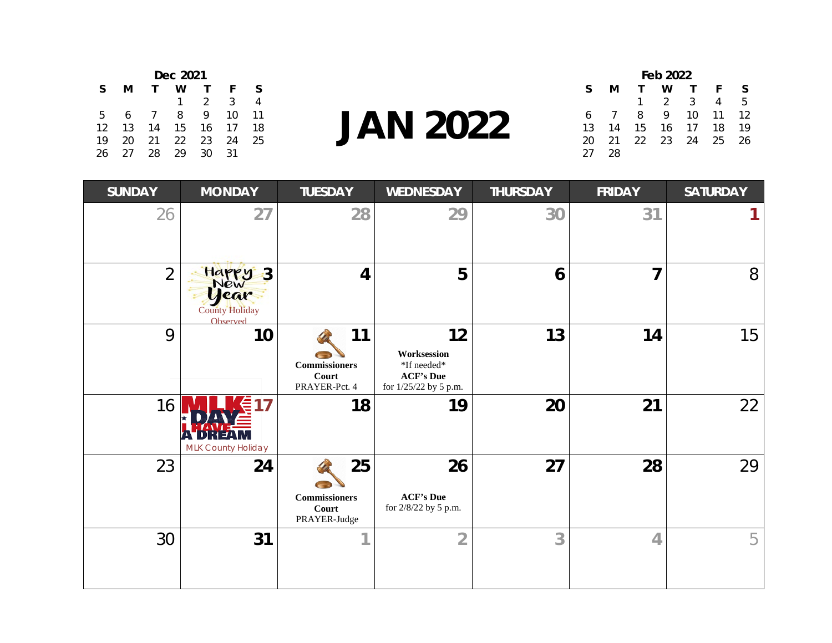| Dec 2021 |    |            |    |               |    |    |  |  |
|----------|----|------------|----|---------------|----|----|--|--|
| S        | м  |            | w  |               | F  | S  |  |  |
|          |    |            | 1  | $\mathcal{D}$ | 3  |    |  |  |
| 5        | 6  | $\sqrt{ }$ | 8  | Q             | 10 | 11 |  |  |
| 12       | 13 | 14         | 15 | 16            | 17 | 18 |  |  |
| 19       | 20 | 21         | 22 | 23            | 24 | 25 |  |  |
| 26       | 27 | 28         | 29 | 30            | 31 |    |  |  |

**JAN 2022**

| Feb 2022 |    |      |               |              |      |    |  |
|----------|----|------|---------------|--------------|------|----|--|
| S        | м  |      | w             | $\mathbf{T}$ | F.   | S  |  |
|          |    | 1.   | $\mathcal{P}$ | - 3          | 4    | 5. |  |
| 6        |    | 8    | 9.            | 10           | -11  | 12 |  |
| 13       | 14 | 15   | 16            | - 17         | 18   | 19 |  |
| 20       | 21 | - 22 | 23            | - 24         | - 25 | 26 |  |
| 27       | 28 |      |               |              |      |    |  |

| <b>SUNDAY</b>  | <b>MONDAY</b>                                                                    | <b>TUESDAY</b>                                       | <b>WEDNESDAY</b>                                                                                                  | <b>THURSDAY</b> | <b>FRIDAY</b>  | <b>SATURDAY</b> |
|----------------|----------------------------------------------------------------------------------|------------------------------------------------------|-------------------------------------------------------------------------------------------------------------------|-----------------|----------------|-----------------|
| 26             | 27                                                                               | 28                                                   | 29                                                                                                                | 30              | 31             |                 |
| $\overline{2}$ | Happy<br>$\overline{\cdot}3$<br>New<br>year<br><b>County Holiday</b><br>Observed | $\overline{\mathbf{4}}$                              | 5                                                                                                                 | 6               | $\overline{7}$ | 8               |
| 9              | 10                                                                               | 11<br><b>Commissioners</b><br>Court<br>PRAYER-Pct. 4 | 12<br>Worksession<br>$\mathbf{^{\ast} If}$ needed $\mathbf{^{\ast}}$<br><b>ACF's Due</b><br>for 1/25/22 by 5 p.m. | 13              | 14             | 15              |
| 16             | MLK County Holiday                                                               | 18                                                   | 19                                                                                                                | 20              | 21             | 22              |
| 23             | 24                                                                               | 25<br><b>Commissioners</b><br>Court<br>PRAYER-Judge  | 26<br><b>ACF's Due</b><br>for 2/8/22 by 5 p.m.                                                                    | 27              | 28             | 29              |
| 30             | 31                                                                               |                                                      | $\overline{2}$                                                                                                    | 3               | $\overline{4}$ | 5               |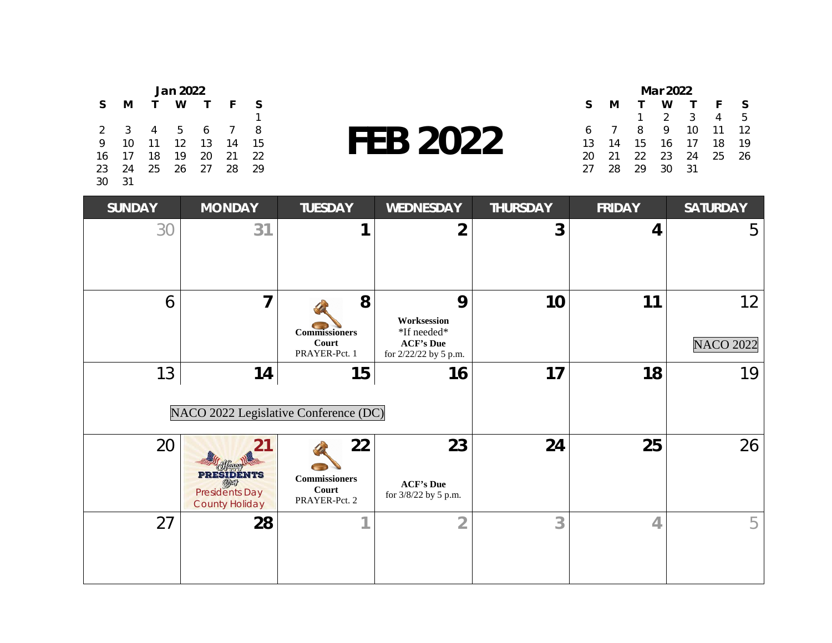| Jan 2022       |    |              |    |    |    |    |  |
|----------------|----|--------------|----|----|----|----|--|
| S              | м  | $\mathbf{T}$ | w  |    | F  | S  |  |
|                |    |              |    |    |    |    |  |
| $\overline{2}$ | 3  | 4            | -5 | 6  |    | 8  |  |
| 9              | 10 | 11           | 12 | 13 | 14 | 15 |  |
| 16             | 17 | 18           | 19 | 20 | 21 | 22 |  |
| 23             | 24 | 25           | 26 | 27 | 28 | 29 |  |
| 30             | 31 |              |    |    |    |    |  |

**FEB 2022**

| Mar 2022 |    |    |                |     |    |    |  |
|----------|----|----|----------------|-----|----|----|--|
| S        | м  |    | w              |     | F  | S  |  |
|          |    | 1  | $\overline{2}$ | - 3 | 4  | 5. |  |
| 6        |    | 8  | 9              | 10  | 11 | 12 |  |
| 13       | 14 | 15 | 16             | -17 | 18 | 19 |  |
| 20       | 21 | 22 | 23             | -24 | 25 | 26 |  |
| 27       | 28 | 29 | 30             | 31  |    |    |  |

| <b>SUNDAY</b> | <b>MONDAY</b>                                                                       | <b>TUESDAY</b>                                       | <b>WEDNESDAY</b>                                                             | <b>THURSDAY</b> | <b>FRIDAY</b>  | <b>SATURDAY</b>        |
|---------------|-------------------------------------------------------------------------------------|------------------------------------------------------|------------------------------------------------------------------------------|-----------------|----------------|------------------------|
| 30            | 31                                                                                  |                                                      | $\overline{2}$                                                               | 3               | 4              | 5                      |
| 6             | 7                                                                                   | 8<br><b>Commissioners</b><br>Court<br>PRAYER-Pct. 1  | 9<br>Worksession<br>*If needed*<br><b>ACF's Due</b><br>for 2/22/22 by 5 p.m. | 10              | 11             | 12<br><b>NACO 2022</b> |
| 13            | 14<br>NACO 2022 Legislative Conference (DC)                                         | 15                                                   | 17                                                                           | 18              | 19             |                        |
| 20            | <b>PRESIDENTS</b><br>$\mathbb{D}$<br><b>Presidents Day</b><br><b>County Holiday</b> | 22<br><b>Commissioners</b><br>Court<br>PRAYER-Pct. 2 | 23<br><b>ACF's Due</b><br>for 3/8/22 by 5 p.m.                               | 24              | 25             | 26                     |
| 27            | 28                                                                                  |                                                      | $\overline{2}$                                                               | 3               | $\overline{4}$ | 5                      |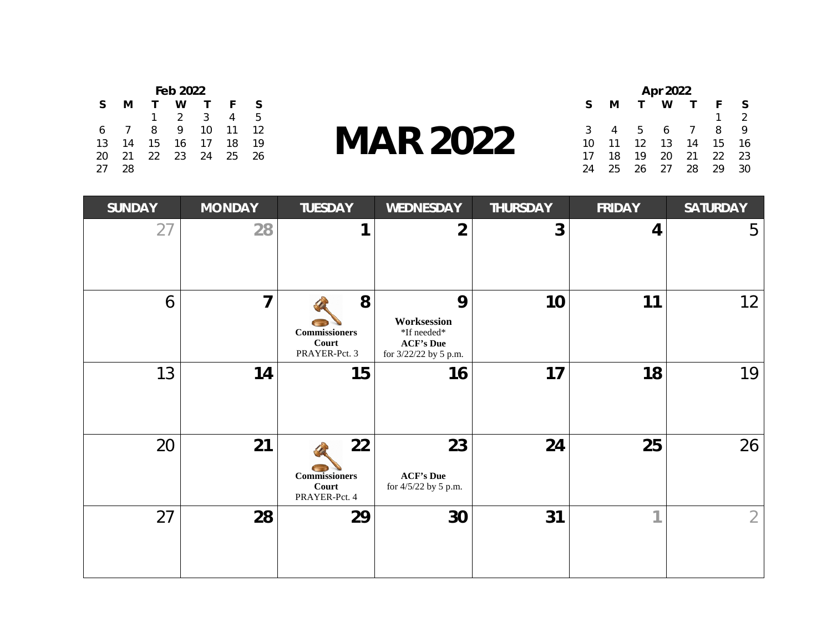| Feb 2022 |    |    |               |    |    |    |  |
|----------|----|----|---------------|----|----|----|--|
| S        | м  |    | w             |    | F  | S  |  |
|          |    |    | $\mathcal{L}$ | 3  | 4  | 5  |  |
| -6       |    | 8  | Q             | 10 | 11 | 12 |  |
| 13       | 14 | 15 | 16            | 17 | 18 | 19 |  |
| 20       | 21 | 22 | 23            | 24 | 25 | 26 |  |
| 27       | 28 |    |               |    |    |    |  |

## **MAR 2022**

| Apr 2022 |    |                   |      |            |    |               |
|----------|----|-------------------|------|------------|----|---------------|
| S        | м  |                   | w    |            | F  | S             |
|          |    |                   |      |            |    | $\mathcal{P}$ |
| 3        | 4  | 5                 | 6    | $\sqrt{ }$ | 8  | 9.            |
| 10       | 11 | $12 \overline{ }$ | 13   | 14         | 15 | 16            |
| 17       | 18 | 19                | 20   | 21         | 22 | 23            |
| 24       | 25 | 26                | - 27 | 28         | 29 | 30            |

| <b>SUNDAY</b> | <b>MONDAY</b>  | <b>TUESDAY</b>                                       | <b>WEDNESDAY</b>                                                             | <b>THURSDAY</b> | <b>FRIDAY</b> | <b>SATURDAY</b> |
|---------------|----------------|------------------------------------------------------|------------------------------------------------------------------------------|-----------------|---------------|-----------------|
| 27            | 28             | 1                                                    | $\overline{2}$                                                               | 3               | 4             | 5               |
| 6             | $\overline{7}$ | 8<br><b>Commissioners</b><br>Court<br>PRAYER-Pct. 3  | 9<br>Worksession<br>*If needed*<br><b>ACF's Due</b><br>for 3/22/22 by 5 p.m. | 10              | 11            | 12              |
| 13            | 14             | 15                                                   | 16                                                                           | 17              | 18            | 19              |
| 20            | 21             | 22<br><b>Commissioners</b><br>Court<br>PRAYER-Pct. 4 | 23<br><b>ACF's Due</b><br>for 4/5/22 by 5 p.m.                               | 24              | 25            | 26              |
| 27            | 28             | 29                                                   | 30                                                                           | 31              | и             | $\overline{2}$  |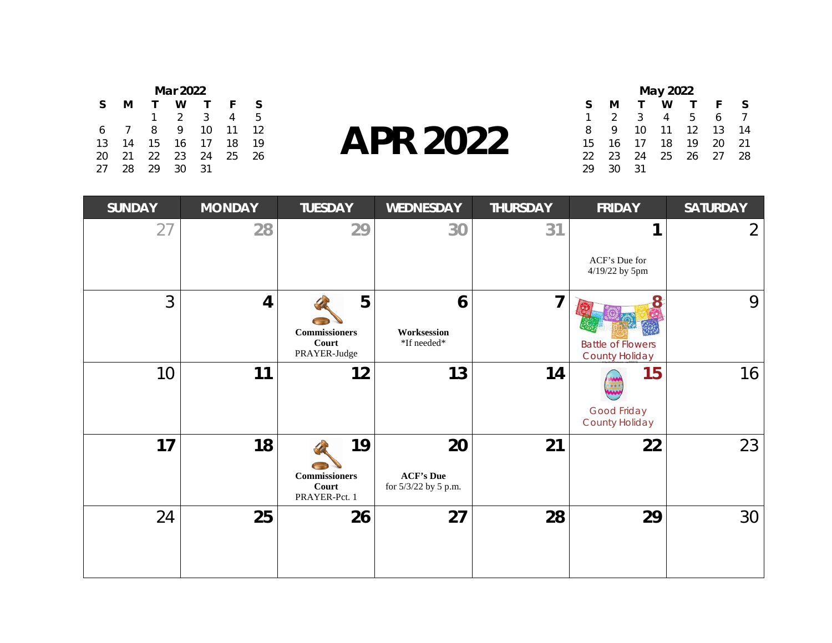| Mar 2022 |    |    |               |    |    |    |  |
|----------|----|----|---------------|----|----|----|--|
| S        | м  |    | w             |    | F  | S. |  |
|          |    | 1  | $\mathcal{P}$ | 3  | 4  | 5. |  |
| 6        |    | 8  | Q             | 10 | 11 | 12 |  |
| 13       | 14 | 15 | 16            | 17 | 18 | 19 |  |
| 20       | 21 | 22 | 23            | 24 | 25 | 26 |  |
| 27       | 28 | 29 | 30            | 31 |    |    |  |

## **APR 2022**

| May 2022 |               |    |    |    |    |    |  |  |
|----------|---------------|----|----|----|----|----|--|--|
| S        | м             |    | w  |    | F  | S  |  |  |
| 1        | $\mathcal{P}$ | 3  | 4  | 5  | 6  |    |  |  |
| 8        | Q             | 10 | 11 | 12 | 13 | 14 |  |  |
| 15       | 16            | 17 | 18 | 19 | 20 | 21 |  |  |
| 22       | 23            | 24 | 25 | 26 | 27 | 28 |  |  |
| 29       | 30            | 31 |    |    |    |    |  |  |

| <b>SUNDAY</b> | <b>MONDAY</b>  | <b>TUESDAY</b>                                       | <b>WEDNESDAY</b>                               | <b>THURSDAY</b> | <b>FRIDAY</b>                                     | <b>SATURDAY</b> |
|---------------|----------------|------------------------------------------------------|------------------------------------------------|-----------------|---------------------------------------------------|-----------------|
| 27            | 28             | 29                                                   | 30                                             | 31              |                                                   | $\overline{2}$  |
|               |                |                                                      |                                                |                 | ACF's Due for<br>4/19/22 by 5pm                   |                 |
| 3             | $\overline{4}$ | 5<br><b>Commissioners</b><br>Court<br>PRAYER-Judge   | 6<br>Worksession<br>*If needed*                | 7               | <b>Battle of Flowers</b><br><b>County Holiday</b> | 9               |
| 10            | 11             | 12                                                   | 13                                             | 14              | 15<br>888<br>Good Friday<br><b>County Holiday</b> | 16              |
| 17            | 18             | 19<br><b>Commissioners</b><br>Court<br>PRAYER-Pct. 1 | 20<br><b>ACF's Due</b><br>for 5/3/22 by 5 p.m. | 21              | 22                                                | 23              |
| 24            | 25             | 26                                                   | 27                                             | 28              | 29                                                | 30              |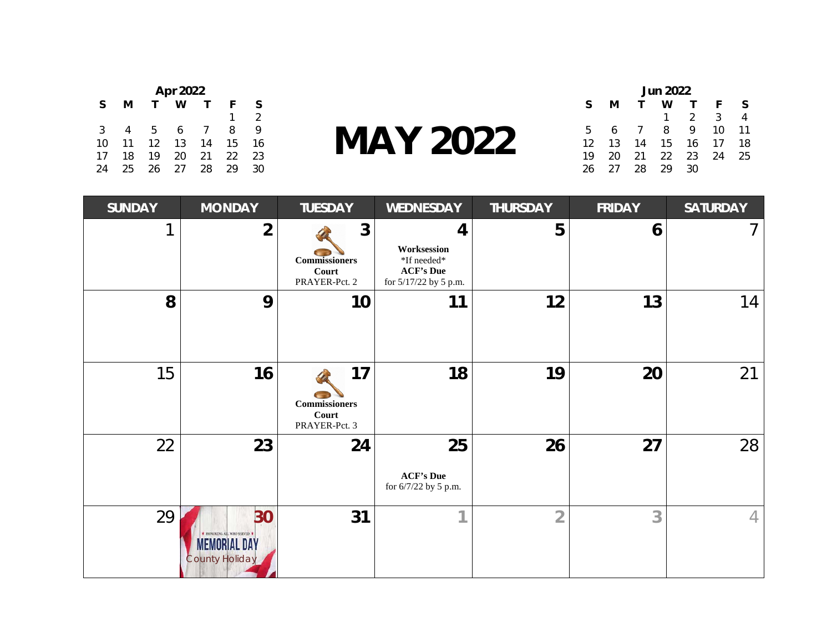| Apr 2022 |    |    |    |    |    |               |  |  |
|----------|----|----|----|----|----|---------------|--|--|
| S        | м  |    | w  |    | F  | S             |  |  |
|          |    |    |    |    | 1  | $\mathcal{P}$ |  |  |
| 3        | 4  | 5. | 6  | -7 | 8  | 9.            |  |  |
| 10       | 11 | 12 | 13 | 14 | 15 | 16            |  |  |
| 17       | 18 | 19 | 20 | 21 | 22 | 23            |  |  |
| 24       | 25 | 26 | 27 | 28 | 29 | 30            |  |  |

**MAY 2022**

| <b>Jun 2022</b> |    |            |                 |               |    |    |
|-----------------|----|------------|-----------------|---------------|----|----|
| S               | м  |            | w               |               | F  | S  |
|                 |    |            | 1.              | $\mathcal{P}$ | 3  |    |
| 5               | 6  | $\sqrt{ }$ | 8               | 9.            | 10 | 11 |
| 12              | 13 | 14         | 15 <sup>2</sup> | 16            | 17 | 18 |
| 19              | 20 | 21         | - 22            | 23            | 24 | 25 |
| 26              | 27 | 28         | 29              | 30            |    |    |

| <b>SUNDAY</b> | <b>MONDAY</b>                                                                     | <b>TUESDAY</b>                                                 | <b>WEDNESDAY</b>                                                             | <b>THURSDAY</b> | <b>FRIDAY</b> | <b>SATURDAY</b> |
|---------------|-----------------------------------------------------------------------------------|----------------------------------------------------------------|------------------------------------------------------------------------------|-----------------|---------------|-----------------|
|               | $\overline{2}$                                                                    | $\mathbf{3}$<br><b>Commissioners</b><br>Court<br>PRAYER-Pct. 2 | 4<br>Worksession<br>*If needed*<br><b>ACF's Due</b><br>for 5/17/22 by 5 p.m. | 5               | 6             | 7               |
| 8             | 9                                                                                 | 10                                                             | 11                                                                           | 12              | 13            | 14              |
| 15            | 16                                                                                | 17<br><b>Commissioners</b><br>Court<br>PRAYER-Pct. 3           | 18                                                                           | 19              | 20            | 21              |
| 22            | 23                                                                                | 24                                                             | 25<br><b>ACF's Due</b><br>for 6/7/22 by 5 p.m.                               | 26              | 27            | 28              |
| 29            | 30<br>* HONORING ALL WHO SERVED *<br><b>MEMORIAL DAY</b><br><b>County Holiday</b> | 31                                                             | 1                                                                            | $\overline{2}$  | 3             | 4               |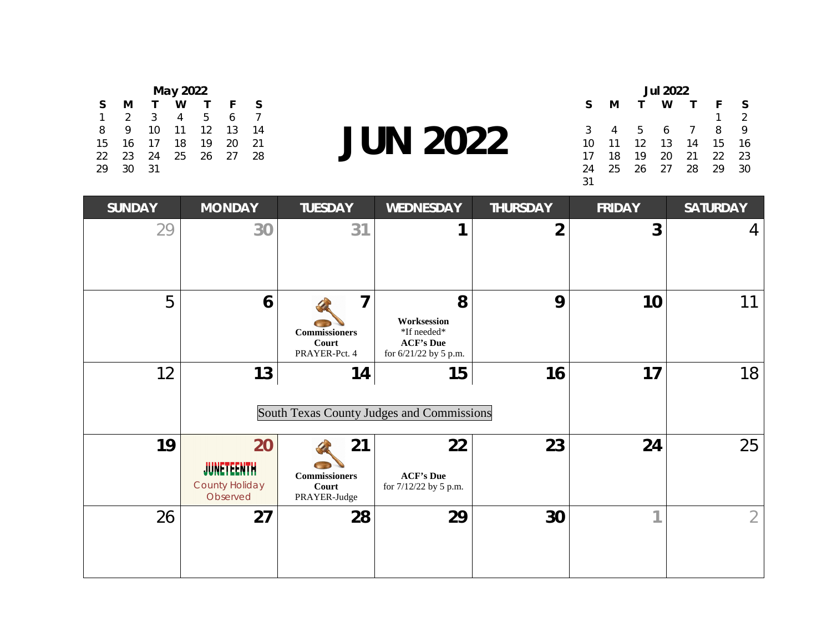| May 2022 |               |    |    |    |    |    |  |  |  |
|----------|---------------|----|----|----|----|----|--|--|--|
| S        | м             |    | w  |    | F  | S  |  |  |  |
| 1        | $\mathcal{D}$ | 3  | 4  | 5  | 6  |    |  |  |  |
| 8        | Q             | 10 | 11 | 12 | 13 | 14 |  |  |  |
| 15       | 16            | 17 | 18 | 19 | 20 | 21 |  |  |  |
| 22       | 23            | 24 | 25 | 26 | 27 | 28 |  |  |  |
| 29       | 30            | 31 |    |    |    |    |  |  |  |

**JUN 2022**

| <b>Jul 2022</b> |    |    |    |          |    |               |  |
|-----------------|----|----|----|----------|----|---------------|--|
| S               | м  |    | w  |          | F  | S             |  |
|                 |    |    |    |          | 1  | $\mathcal{P}$ |  |
| 3               |    | -5 | 6  | $\prime$ | 8  | 9             |  |
| 10              | 11 | 12 | 13 | 14       | 15 | 16            |  |
| 17              | 18 | 19 | 20 | 21       | 22 | 23            |  |
| 24              | 25 | 26 | 27 | 28       | 29 | 30            |  |
| 31              |    |    |    |          |    |               |  |

| <b>SUNDAY</b> | <b>MONDAY</b>                                                | <b>TUESDAY</b>                                         | <b>WEDNESDAY</b>                                                             | <b>THURSDAY</b> | <b>FRIDAY</b> | <b>SATURDAY</b> |
|---------------|--------------------------------------------------------------|--------------------------------------------------------|------------------------------------------------------------------------------|-----------------|---------------|-----------------|
| 29            | 30                                                           | 31                                                     |                                                                              | $\overline{2}$  | 3             | 4               |
| 5             | 6                                                            | 7<br><b>Commissioners</b><br>Court<br>PRAYER-Pct. 4    | 8<br>Worksession<br>*If needed*<br><b>ACF's Due</b><br>for 6/21/22 by 5 p.m. | 9               | 10            | 11              |
| 12            | 13                                                           | 14<br><b>South Texas County Judges and Commissions</b> | 16                                                                           | 17              | 18            |                 |
| 19            | 20<br><b>JUNETEENTH</b><br><b>County Holiday</b><br>Observed | 21<br><b>Commissioners</b><br>Court<br>PRAYER-Judge    | 22<br><b>ACF's Due</b><br>for 7/12/22 by 5 p.m.                              | 23              | 24            | 25              |
| 26            | 27                                                           | 28                                                     | 29                                                                           | 30              | и             | $\overline{2}$  |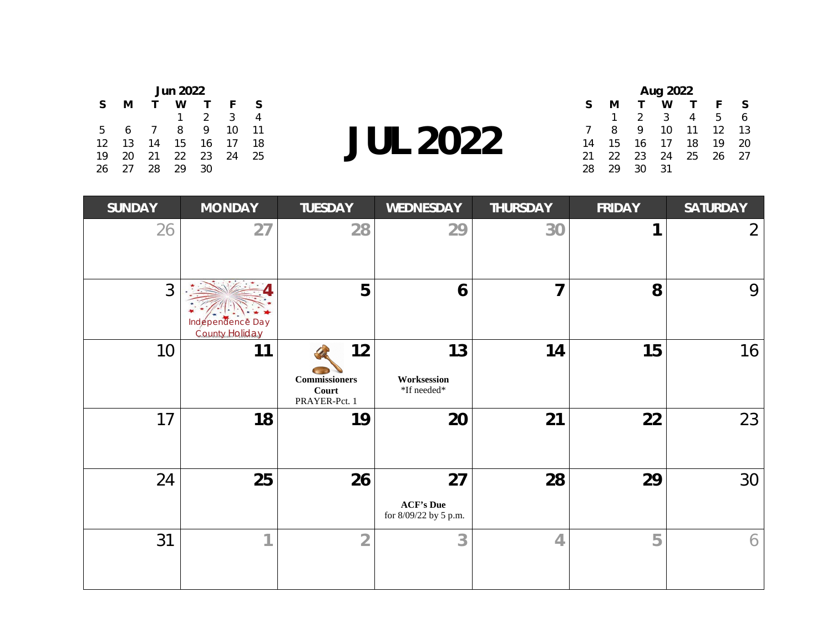| <b>Jun 2022</b> |    |          |    |               |    |    |  |  |
|-----------------|----|----------|----|---------------|----|----|--|--|
| S               | м  |          | w  |               | F  | S  |  |  |
|                 |    |          |    | $\mathcal{P}$ | 3  |    |  |  |
| 5               | 6  | $\prime$ | 8  | Q             | 10 | 11 |  |  |
| 12              | 13 | 14       | 15 | 16            | 17 | 18 |  |  |
| 19              | 20 | 21       | 22 | 23            | 24 | 25 |  |  |
| 26              | 27 | 28       | 29 | 30            |    |    |  |  |

 $\frac{13}{25}$  **JUL 2022** 

| Aug 2022 |    |               |    |    |    |    |  |
|----------|----|---------------|----|----|----|----|--|
| S        | м  |               | w  |    | F  | S  |  |
|          |    | $\mathcal{P}$ | 3  | 4  | 5  |    |  |
|          | 8  | Q             | 10 | 11 | 12 | 13 |  |
| 14       | 15 | 16            | 17 | 18 | 19 | 20 |  |
| 21       | 22 | 23            | 24 | 25 | 26 | 27 |  |
| 28       | 29 | RΩ            | 31 |    |    |    |  |

| <b>SUNDAY</b> | <b>MONDAY</b>                      | <b>TUESDAY</b>                                       | <b>WEDNESDAY</b>                                | <b>THURSDAY</b> | <b>FRIDAY</b> | <b>SATURDAY</b> |
|---------------|------------------------------------|------------------------------------------------------|-------------------------------------------------|-----------------|---------------|-----------------|
| 26            | 27                                 | 28                                                   | 29                                              | 30              | 1             | $\overline{2}$  |
| 3             | Indépendence Day<br>County Holiday | 5                                                    | 6                                               | $\overline{7}$  | 8             | 9               |
| 10            | 11                                 | 12<br><b>Commissioners</b><br>Court<br>PRAYER-Pct. 1 | 13<br>Worksession<br>*If needed*                | 14              | 15            | 16              |
| 17            | 18                                 | 19                                                   | 20                                              | 21              | 22            | 23              |
| 24            | 25                                 | 26                                                   | 27<br><b>ACF's Due</b><br>for 8/09/22 by 5 p.m. | 28              | 29            | 30              |
| 31            | 1                                  | $\overline{2}$                                       | 3                                               | $\overline{4}$  | 5             | 6               |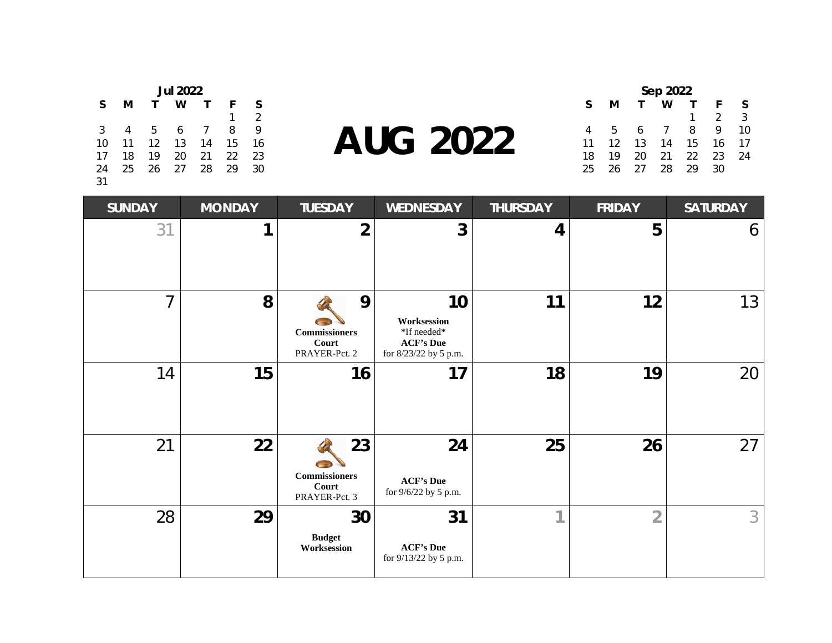|                | <b>Jul 2022</b> |              |       |              |    |               |  |  |
|----------------|-----------------|--------------|-------|--------------|----|---------------|--|--|
| S              | м               | $\mathbf{T}$ | w     | $\mathsf{T}$ | F  | S             |  |  |
|                |                 |              |       |              |    | $\mathcal{P}$ |  |  |
| 3 <sup>7</sup> | $\overline{4}$  |              | 5 6 7 |              | 8  | 9             |  |  |
|                | 10 11 12 13 14  |              |       |              | 15 | 16            |  |  |
| 17             | 18              |              | 19 20 | 21           | 22 | 23            |  |  |
|                | 24 25 26 27 28  |              |       |              | 29 | 30            |  |  |
| 31             |                 |              |       |              |    |               |  |  |

**AUG 2022**

| Sep 2022 |    |    |                          |    |               |    |  |  |
|----------|----|----|--------------------------|----|---------------|----|--|--|
| S        | м  |    | w                        |    | F             | S  |  |  |
|          |    |    |                          | 1  | $\mathcal{P}$ | 3  |  |  |
| 4        | b. | 6  | $\overline{\phantom{a}}$ | 8  | 9             | 10 |  |  |
| 11       | 12 | 13 | 14                       | 15 | 16            | 17 |  |  |
| 18       | 19 | 20 | 21                       | 22 | 23            | 24 |  |  |
| 25       | 26 | 27 | 28                       | 29 | 30            |    |  |  |

| <b>SUNDAY</b>  | <b>MONDAY</b> | <b>TUESDAY</b>                                                  | <b>WEDNESDAY</b>                                                              | <b>THURSDAY</b> | <b>FRIDAY</b>  | <b>SATURDAY</b> |
|----------------|---------------|-----------------------------------------------------------------|-------------------------------------------------------------------------------|-----------------|----------------|-----------------|
| 31             | 1             | $\overline{2}$                                                  | 3                                                                             | 4               | 5              | 6               |
| $\overline{7}$ | 8             | 9<br>$\label{10} {\bf Commissioners}$<br>Court<br>PRAYER-Pct. 2 | 10<br>Worksession<br>*If needed*<br><b>ACF's Due</b><br>for 8/23/22 by 5 p.m. | 11              | 12             | 13              |
| 14             | 15            | 16                                                              | 17                                                                            | 18              | 19             | 20              |
| 21             | 22            | 23<br><b>Commissioners</b><br>Court<br>PRAYER-Pct. 3            | 24<br><b>ACF's Due</b><br>for 9/6/22 by 5 p.m.                                | 25              | 26             | 27              |
| 28             | 29            | 30<br><b>Budget</b><br>Worksession                              | 31<br><b>ACF's Due</b><br>for 9/13/22 by 5 p.m.                               | 4               | $\overline{2}$ | 3               |